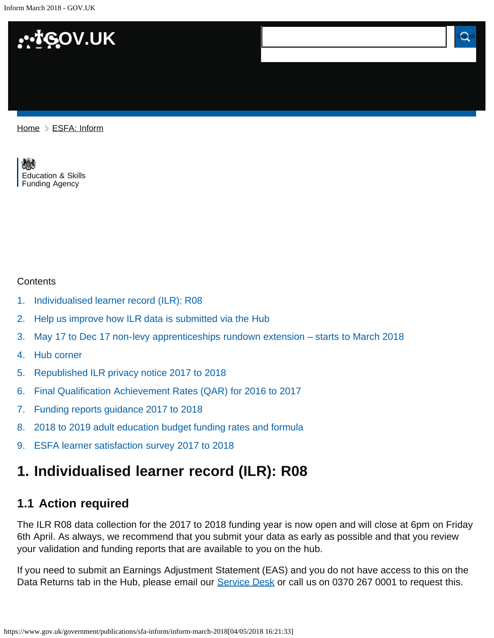Inform March 2018 - GOV.UK



[Home](https://www.gov.uk/) > [ESFA: Inform](https://www.gov.uk/government/publications/sfa-inform)

[Education & Skills](https://www.gov.uk/government/organisations/education-and-skills-funding-agency)  [Funding Agency](https://www.gov.uk/government/organisations/education-and-skills-funding-agency)

#### **Contents**

- [1.](#page-0-0) [Individualised learner record \(ILR\): R08](#page-0-0)
- [2.](#page-1-0) [Help us improve how ILR data is submitted via the Hub](#page-1-0)
- [3.](#page-2-0) [May 17 to Dec 17 non-levy apprenticeships rundown extension starts to March 2018](#page-2-0)

 $\boldsymbol{\Omega}$ 

- [4.](#page-2-1) [Hub corner](#page-2-1)
- [5.](#page-2-2) [Republished ILR privacy notice 2017 to 2018](#page-2-2)
- [6.](#page-2-3) [Final Qualification Achievement Rates \(QAR\) for 2016 to 2017](#page-2-3)
- [7.](#page-3-0) [Funding reports guidance 2017 to 2018](#page-3-0)
- [8.](#page-3-1) [2018 to 2019 adult education budget funding rates and formula](#page-3-1)
- [9.](#page-3-2) [ESFA learner satisfaction survey 2017 to 2018](#page-3-2)

# <span id="page-0-0"></span>**1. Individualised learner record (ILR): R08**

### **1.1 Action required**

The ILR R08 data collection for the 2017 to 2018 funding year is now open and will close at 6pm on Friday 6th April. As always, we recommend that you submit your data as early as possible and that you review your validation and funding reports that are available to you on the hub.

If you need to submit an Earnings Adjustment Statement (EAS) and you do not have access to this on the Data Returns tab in the Hub, please email our [Service Desk](mailto:SDE.servicedesk@education.gov.uk) or call us on 0370 267 0001 to request this.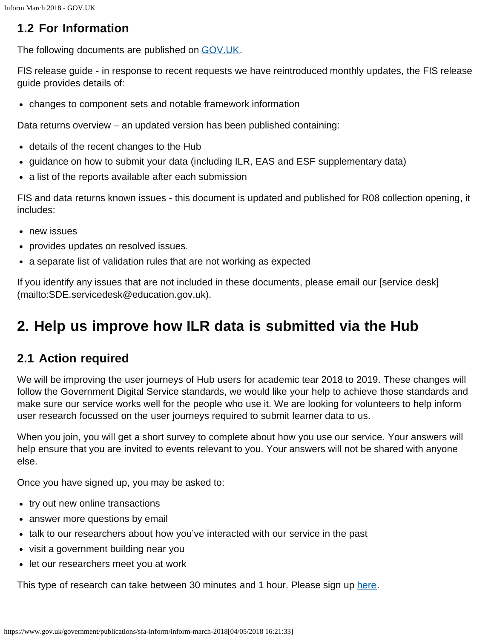### **1.2 For Information**

The following documents are published on [GOV.UK](https://www.gov.uk/government/publications/individualised-learner-record-ilr-check-that-data-is-accurate).

FIS release guide - in response to recent requests we have reintroduced monthly updates, the FIS release guide provides details of:

changes to component sets and notable framework information

Data returns overview – an updated version has been published containing:

- details of the recent changes to the Hub
- guidance on how to submit your data (including ILR, EAS and ESF supplementary data)
- a list of the reports available after each submission

FIS and data returns known issues - this document is updated and published for R08 collection opening, it includes:

- new issues
- provides updates on resolved issues.
- a separate list of validation rules that are not working as expected

If you identify any issues that are not included in these documents, please email our [service desk] (mailto:SDE.servicedesk@education.gov.uk).

## <span id="page-1-0"></span>**2. Help us improve how ILR data is submitted via the Hub**

#### **2.1 Action required**

We will be improving the user journeys of Hub users for academic tear 2018 to 2019. These changes will follow the Government Digital Service standards, we would like your help to achieve those standards and make sure our service works well for the people who use it. We are looking for volunteers to help inform user research focussed on the user journeys required to submit learner data to us.

When you join, you will get a short survey to complete about how you use our service. Your answers will help ensure that you are invited to events relevant to you. Your answers will not be shared with anyone else.

Once you have signed up, you may be asked to:

- try out new online transactions
- answer more questions by email
- talk to our researchers about how you've interacted with our service in the past
- visit a government building near you
- let our researchers meet you at work

This type of research can take between 30 minutes and 1 hour. Please sign up [here.](https://www.surveymonkey.co.uk/r/GMWH2GJ)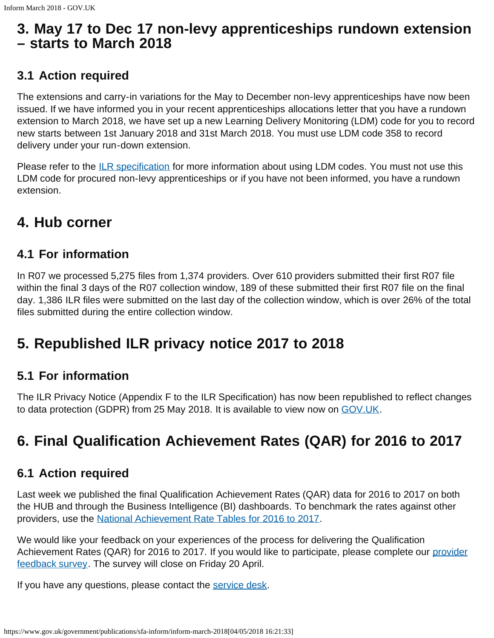### <span id="page-2-0"></span>**3. May 17 to Dec 17 non-levy apprenticeships rundown extension – starts to March 2018**

#### **3.1 Action required**

The extensions and carry-in variations for the May to December non-levy apprenticeships have now been issued. If we have informed you in your recent apprenticeships allocations letter that you have a rundown extension to March 2018, we have set up a new Learning Delivery Monitoring (LDM) code for you to record new starts between 1st January 2018 and 31st March 2018. You must use LDM code 358 to record delivery under your run-down extension.

Please refer to the *ILR specification* for more information about using LDM codes. You must not use this LDM code for procured non-levy apprenticeships or if you have not been informed, you have a rundown extension.

## <span id="page-2-1"></span>**4. Hub corner**

### **4.1 For information**

In R07 we processed 5,275 files from 1,374 providers. Over 610 providers submitted their first R07 file within the final 3 days of the R07 collection window, 189 of these submitted their first R07 file on the final day. 1,386 ILR files were submitted on the last day of the collection window, which is over 26% of the total files submitted during the entire collection window.

# <span id="page-2-2"></span>**5. Republished ILR privacy notice 2017 to 2018**

#### **5.1 For information**

The ILR Privacy Notice (Appendix F to the ILR Specification) has now been republished to reflect changes to data protection (GDPR) from 25 May 2018. It is available to view now on [GOV.UK](https://www.gov.uk/government/publications/ilr-specification-validation-rules-and-appendices-2017-to-2018).

# <span id="page-2-3"></span>**6. Final Qualification Achievement Rates (QAR) for 2016 to 2017**

#### **6.1 Action required**

Last week we published the final Qualification Achievement Rates (QAR) data for 2016 to 2017 on both the HUB and through the Business Intelligence (BI) dashboards. To benchmark the rates against other providers, use the [National Achievement Rate Tables for 2016 to 2017](https://www.gov.uk/government/collections/sfa-national-success-rates-tables).

We would like your feedback on your experiences of the process for delivering the Qualification Achievement Rates (QAR) for 2016 to 2017. If you would like to participate, please complete our [provider](https://www.gov.uk/government/collections/qualification-achievement-rates-and-minimum-standards) [feedback survey.](https://www.gov.uk/government/collections/qualification-achievement-rates-and-minimum-standards) The survey will close on Friday 20 April.

If you have any questions, please contact the [service desk.](mailto:SDE.servicedesk@education.gov.uk)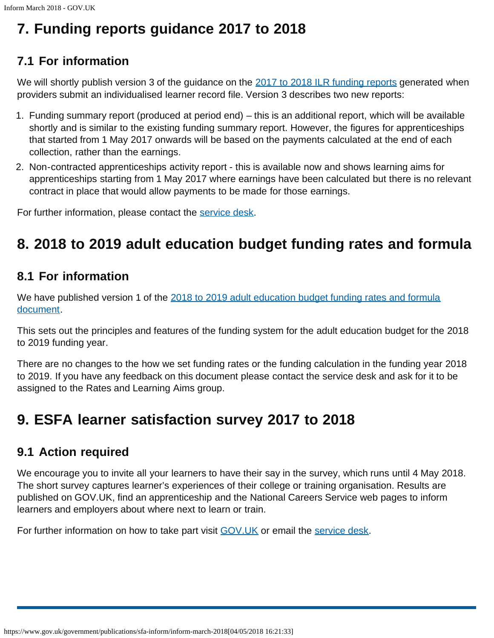# <span id="page-3-0"></span>**7. Funding reports guidance 2017 to 2018**

### **7.1 For information**

We will shortly publish version 3 of the guidance on the [2017 to 2018 ILR funding reports](https://www.gov.uk/government/publications/individualised-learner-record-ilr-check-that-data-is-accurate) generated when providers submit an individualised learner record file. Version 3 describes two new reports:

- 1. Funding summary report (produced at period end) this is an additional report, which will be available shortly and is similar to the existing funding summary report. However, the figures for apprenticeships that started from 1 May 2017 onwards will be based on the payments calculated at the end of each collection, rather than the earnings.
- 2. Non-contracted apprenticeships activity report this is available now and shows learning aims for apprenticeships starting from 1 May 2017 where earnings have been calculated but there is no relevant contract in place that would allow payments to be made for those earnings.

For further information, please contact the [service desk.](mailto:SDE.servicedesk@education.gov.uk)

# <span id="page-3-1"></span>**8. 2018 to 2019 adult education budget funding rates and formula**

### **8.1 For information**

We have published version 1 of the [2018 to 2019 adult education budget funding rates and formula](https://www.gov.uk/government/publications/adult-education-budget-funding-rates-and-formula-2018-to-2019) [document](https://www.gov.uk/government/publications/adult-education-budget-funding-rates-and-formula-2018-to-2019).

This sets out the principles and features of the funding system for the adult education budget for the 2018 to 2019 funding year.

There are no changes to the how we set funding rates or the funding calculation in the funding year 2018 to 2019. If you have any feedback on this document please contact the service desk and ask for it to be assigned to the Rates and Learning Aims group.

## <span id="page-3-2"></span>**9. ESFA learner satisfaction survey 2017 to 2018**

#### **9.1 Action required**

We encourage you to invite all your learners to have their say in the survey, which runs until 4 May 2018. The short survey captures learner's experiences of their college or training organisation. Results are published on GOV.UK, find an apprenticeship and the National Careers Service web pages to inform learners and employers about where next to learn or train.

For further information on how to take part visit [GOV.UK](https://www.gov.uk/government/publications/fe-choices-learner-satisfaction-survey-guidance) or email the [service desk.](mailto:SDE.servicedesk@education.gov.uk)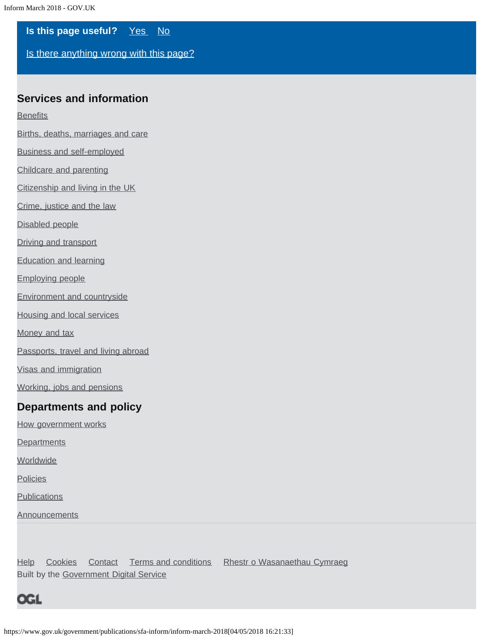**Is this page useful?** [Yes No](https://www.gov.uk/contact/govuk)

[Is there anything wrong with this page?](https://www.gov.uk/contact/govuk)

#### **Services and information**

**[Benefits](https://www.gov.uk/browse/benefits)** 

[Births, deaths, marriages and care](https://www.gov.uk/browse/births-deaths-marriages)

[Business and self-employed](https://www.gov.uk/browse/business)

[Childcare and parenting](https://www.gov.uk/browse/childcare-parenting)

[Citizenship and living in the UK](https://www.gov.uk/browse/citizenship)

[Crime, justice and the law](https://www.gov.uk/browse/justice)

[Disabled people](https://www.gov.uk/browse/disabilities)

[Driving and transport](https://www.gov.uk/browse/driving)

[Education and learning](https://www.gov.uk/browse/education)

[Employing people](https://www.gov.uk/browse/employing-people)

[Environment and countryside](https://www.gov.uk/browse/environment-countryside)

[Housing and local services](https://www.gov.uk/browse/housing-local-services)

[Money and tax](https://www.gov.uk/browse/tax)

[Passports, travel and living abroad](https://www.gov.uk/browse/abroad)

[Visas and immigration](https://www.gov.uk/browse/visas-immigration)

[Working, jobs and pensions](https://www.gov.uk/browse/working)

#### **Departments and policy**

[How government works](https://www.gov.uk/government/how-government-works)

**[Departments](https://www.gov.uk/government/organisations)** 

**[Worldwide](https://www.gov.uk/world)** 

**[Policies](https://www.gov.uk/government/policies)** 

**[Publications](https://www.gov.uk/government/publications)** 

**[Announcements](https://www.gov.uk/government/announcements)** 

[Help](https://www.gov.uk/help) [Cookies](https://www.gov.uk/help/cookies) [Contact](https://www.gov.uk/contact) [Terms and conditions](https://www.gov.uk/help/terms-conditions) [Rhestr o Wasanaethau Cymraeg](https://www.gov.uk/cymraeg) Built by the [Government Digital Service](https://www.gov.uk/government/organisations/government-digital-service)